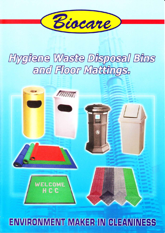

## Hygiene Waste Disposal Bins and Floor Mattings.



## **ENVIRONMENT MAKER IN CLEANINESS**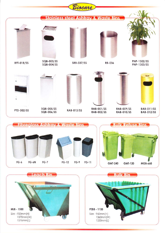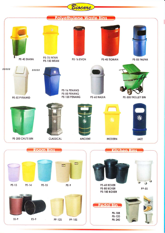

PE-13 PE-14 PE-15

PE-9





PB-108 PB-120 PB-240